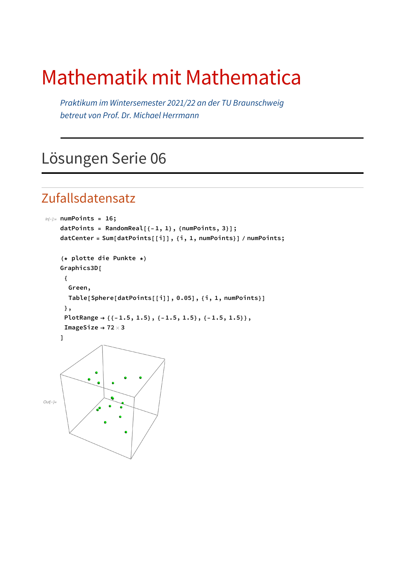# Mathematik mit Mathematica

*Praktikum im Wintersemester 2021/22 an der TU Braunschweig betreut von Prof. Dr. Michael Herrmann*

## Lösungen Serie 06

#### Zufallsdatensatz

```
In[!]:= numPoints = 16;
    datPoints = RandomReal[{-1, 1}, {numPoints, 3}];
    datCenter = Sum[datPoints[[i]], {i, 1, numPoints}] / numPoints;
     (* plotte die Punkte *)
    Graphics3D[
      {
       Green,
       Table[Sphere[datPoints[[i]], 0.05], {i, 1, numPoints}]
      },
      PlotRange → {{-1.5, 1.5}, {-1.5, 1.5}, {-1.5, 1.5}},
      ImageSize → 72 × 3
    ]
Out[!]=
```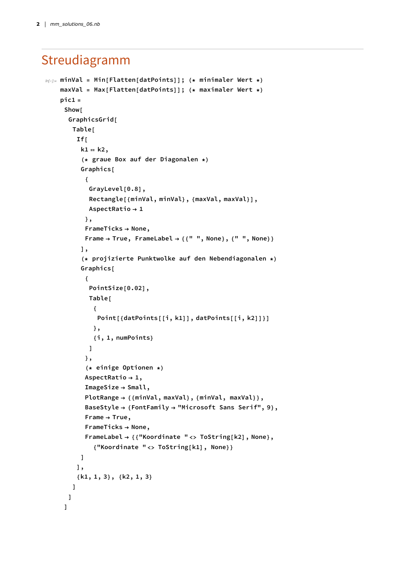### Streudiagramm

```
In[!]:= minVal = Min[Flatten[datPoints]]; (* minimaler Wert *)
    maxVal = Max[Flatten[datPoints]]; (* maximaler Wert *)
    pic1 =
     Show[
      GraphicsGrid[
       Table[
        If[
         k1 ⩵ k2,
          (* graue Box auf der Diagonalen *)
          Graphics[
           {
            GrayLevel[0.8],
            Rectangle[{minVal, minVal}, {maxVal, maxVal}],
            AspectRatio → 1
           },
           FrameTicks → None,
           Frame → True, FrameLabel → {{" ", None}, {" ", None}}
          ],
          (* projizierte Punktwolke auf den Nebendiagonalen *)
          Graphics[
           {
            PointSize[0.02],
            Table[
             {
              Point[{datPoints[[i, k1]], datPoints[[i, k2]]}]
             },
             {i, 1, numPoints}
            ]
           },
           (* einige Optionen *)
           AspectRatio → 1,
           ImageSize → Small,
           PlotRange → {{minVal, maxVal}, {minVal, maxVal}},
           BaseStyle → {FontFamily → "Microsoft Sans Serif", 9},
           Frame → True,
           FrameTicks → None,
           FrameLabel → {{"Koordinate " <> ToString[k2], None},
             {"Koordinate " <> ToString[k1], None}}
         ]
        ],
        {k1, 1, 3}, {k2, 1, 3}
       ]
      ]
     ]
```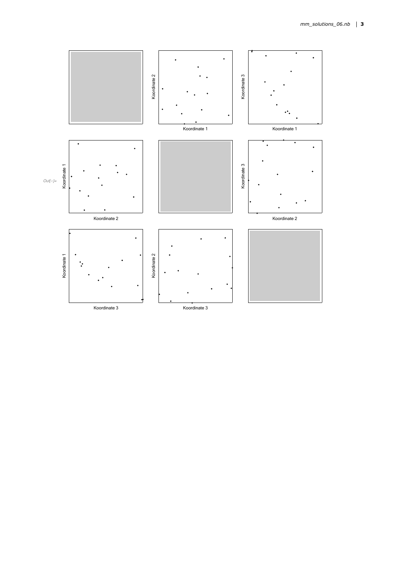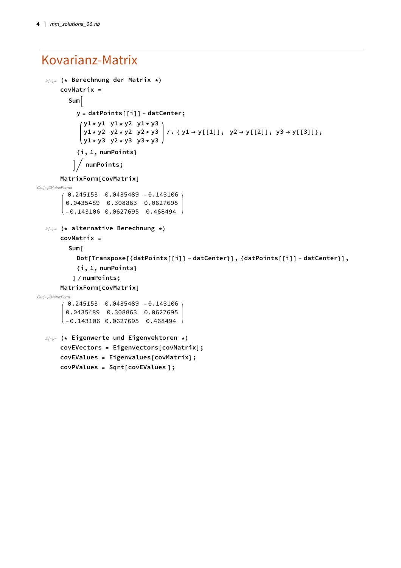#### Kovarianz-Matrix

```
In[!]:= (* Berechnung der Matrix *)
      covMatrix =
         Sum
           y = datPoints[[i]] - datCenter;
             y1 * y1 y1 * y2 y1 * y3
              y1*y2 y2*y2 y2*y3 | /. { y1 -> y[[1]], y2 -> y[[2]], y3 -> y[[3]]},
             \left(y1 \cdot y3 \cdot y2 \cdot y3 \cdot y3 \cdot y3\right){i, 1, numPoints}
            numPoints;
      MatrixForm[covMatrix]
Out[!]//MatrixForm=
        0.245153 0.0435489 -0.143106
        0.0435489 0.308863 0.0627695
       -0.143106 0.0627695 0.468494
  In[!]:= (* alternative Berechnung *)
      covMatrix =
         Sum[
           Dot[Transpose[{datPoints[[i]] - datCenter}], {datPoints[[i]] - datCenter}],
           {i, 1, numPoints}
          ] / numPoints;
      MatrixForm[covMatrix]
Out[!]//MatrixForm=
         0.245153 0.0435489 -0.143106
        0.0435489 0.308863 0.0627695
       \Big(-0.143106\ 0.0627695\ 0.468494\ \Big)In[!]:= (* Eigenwerte und Eigenvektoren *)
      covEVectors = Eigenvectors[covMatrix];
      covEValues = Eigenvalues[covMatrix];
      covPValues = Sqrt[covEValues ];
```